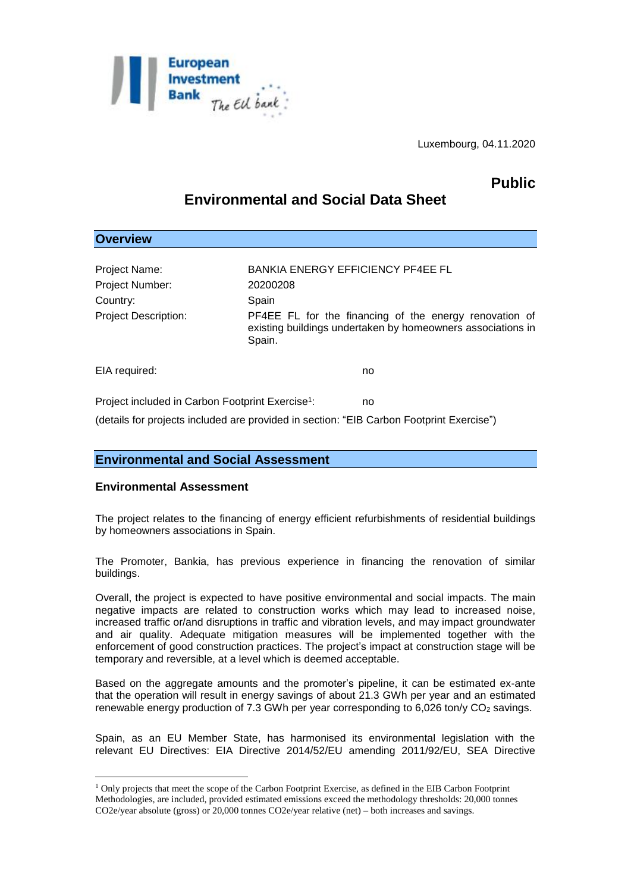

Luxembourg, 04.11.2020

## **Public**

# **Environmental and Social Data Sheet**

## **Overview** Project Name: BANKIA ENERGY EFFICIENCY PF4EE FL Project Number: 20200208 Country: Spain Project Description: PF4EE FL for the financing of the energy renovation of existing buildings undertaken by homeowners associations in Spain. EIA required: no Project included in Carbon Footprint Exercise<sup>1</sup>: : no (details for projects included are provided in section: "EIB Carbon Footprint Exercise")

## **Environmental and Social Assessment**

### **Environmental Assessment**

1

The project relates to the financing of energy efficient refurbishments of residential buildings by homeowners associations in Spain.

The Promoter, Bankia, has previous experience in financing the renovation of similar buildings.

Overall, the project is expected to have positive environmental and social impacts. The main negative impacts are related to construction works which may lead to increased noise, increased traffic or/and disruptions in traffic and vibration levels, and may impact groundwater and air quality. Adequate mitigation measures will be implemented together with the enforcement of good construction practices. The project's impact at construction stage will be temporary and reversible, at a level which is deemed acceptable.

Based on the aggregate amounts and the promoter's pipeline, it can be estimated ex-ante that the operation will result in energy savings of about 21.3 GWh per year and an estimated renewable energy production of 7.3 GWh per year corresponding to 6,026 ton/y CO<sub>2</sub> savings.

Spain, as an EU Member State, has harmonised its environmental legislation with the relevant EU Directives: EIA Directive 2014/52/EU amending 2011/92/EU, SEA Directive

<sup>1</sup> Only projects that meet the scope of the Carbon Footprint Exercise, as defined in the EIB Carbon Footprint Methodologies, are included, provided estimated emissions exceed the methodology thresholds: 20,000 tonnes CO2e/year absolute (gross) or 20,000 tonnes CO2e/year relative (net) – both increases and savings.